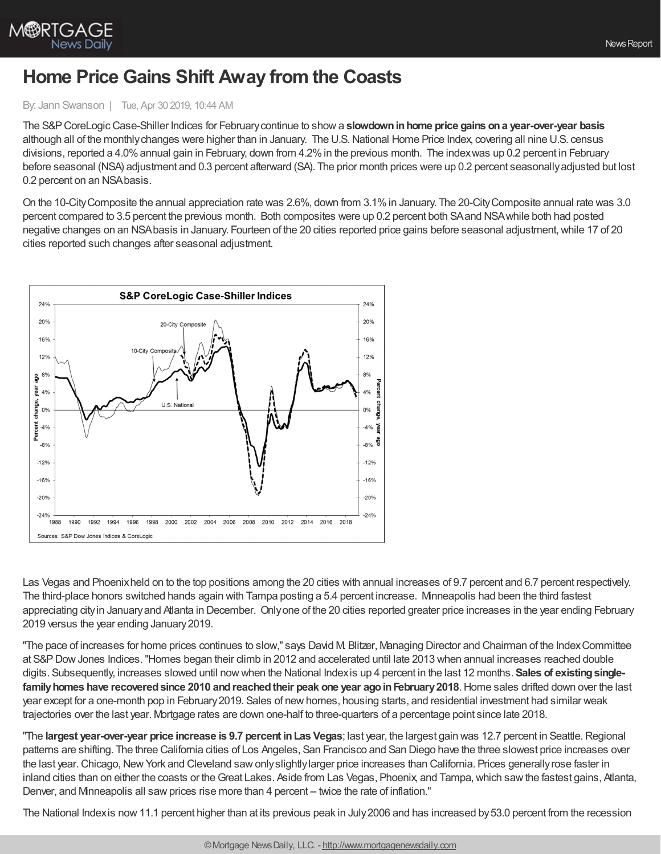

M®RTGAGE

## **Home Price Gains Shift Away from the Coasts**

## By: Jann Swanson | Tue, Apr 30 2019, 10:44 AM

The S&PCoreLogicCase-Shiller Indices for Februarycontinue to showa **slowdowninhome price gains ona year-over-year basis** although all of the monthly changes were higher than in January. The U.S. National Home Price Index, covering all nine U.S. census divisions, reported a 4.0% annual gain in February, down from 4.2% in the previous month. The indexwas up 0.2 percent in February before seasonal (NSA) adjustment and 0.3 percent afterward (SA). The prior month prices were up 0.2 percent seasonallyadjusted but lost 0.2 percent on an NSAbasis.

On the 10-CityComposite the annual appreciation rate was 2.6%, down from 3.1%in January. The 20-CityComposite annual rate was 3.0 percent compared to 3.5 percent the previous month. Both composites were up 0.2 percent both SAand NSAwhile both had posted negative changes on an NSA basis in January. Fourteen of the 20 cities reported price gains before seasonal adjustment, while 17 of 20 cities reported such changes after seasonal adjustment.



Las Vegas and Phoenixheld on to the top positions among the 20 cities with annual increases of 9.7 percent and 6.7 percent respectively. The third-place honors switched hands again with Tampa posting a 5.4 percent increase. Minneapolis had been the third fastest appreciating cityin Januaryand Atlanta in December. Onlyone of the 20 cities reported greater price increases in the year ending February 2019 versus the year ending January2019.

"The pace of increases for home prices continues to slow," says David M. Blitzer, Managing Director and Chairman of the IndexCommittee at S&PDowJones Indices."Homes began their climb in 2012 and accelerated until late 2013 when annual increases reached double digits. Subsequently, increases slowed until nowwhen the National Indexis up 4 percent in the last 12 months. **Sales of existingsinglefamilyhomes have recoveredsince 2010 andreachedtheir peak one year agoinFebruary2018**.Home sales drifted down over the last year except for a one-month pop in February2019. Sales of newhomes, housing starts, and residential investment had similar weak trajectories over the last year. Mortgage rates are down one-half to three-quarters of a percentage point since late 2018.

"The **largest year-over-year price increase is 9.7 percent inLas Vegas**; last year, the largest gain was 12.7 percent in Seattle.Regional patterns are shifting. The three California cities of Los Angeles, San Francisco and San Diego have the three slowest price increases over the last year. Chicago, New York and Cleveland saw only slightly larger price increases than California. Prices generally rose faster in inland cities than on either the coasts or theGreat Lakes. Aside from Las Vegas, Phoenix, and Tampa,which sawthe fastest gains, Atlanta, Denver, and Minneapolis all saw prices rise more than 4 percent -- twice the rate of inflation."

The National Indexis now11.1 percent higher than at its previous peak in July2006 and has increased by53.0 percent from the recession